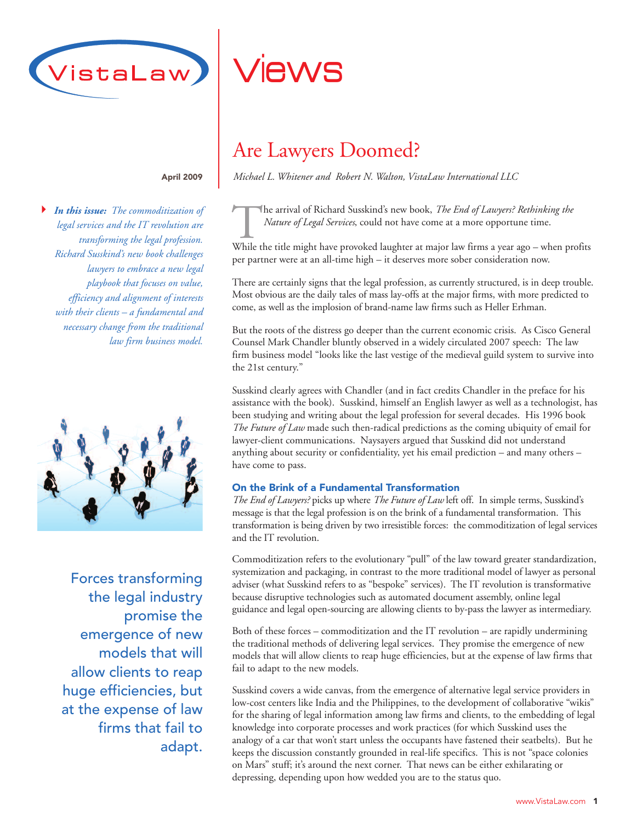

#### April 2009

*In this issue: The commoditization of* !*legal services and the IT revolution are transforming the legal profession. Richard Susskind's new book challenges lawyers to embrace a new legal playbook that focuses on value, efficiency and alignment of interests with their clients – a fundamental and necessary change from the traditional law firm business model.*



Forces transforming the legal industry promise the emergence of new models that will allow clients to reap huge efficiencies, but at the expense of law firms that fail to adapt.

# Views

## Are Lawyers Doomed?

*Michael L. Whitener and Robert N. Walton, VistaLaw International LLC*

The arrival of Richard Susskind's new book, *The End of Lawyers? Rethinking the*<br>*Nature of Legal Services*, could not have come at a more opportune time.<br>While the title might have provoked laughter at major law firms a y *Nature of Legal Services*, could not have come at a more opportune time.

While the title might have provoked laughter at major law firms a year ago – when profits per partner were at an all-time high – it deserves more sober consideration now.

There are certainly signs that the legal profession, as currently structured, is in deep trouble. Most obvious are the daily tales of mass lay-offs at the major firms, with more predicted to come, as well as the implosion of brand-name law firms such as Heller Erhman.

But the roots of the distress go deeper than the current economic crisis. As Cisco General Counsel Mark Chandler bluntly observed in a widely circulated 2007 speech: The law firm business model "looks like the last vestige of the medieval guild system to survive into the 21st century."

Susskind clearly agrees with Chandler (and in fact credits Chandler in the preface for his assistance with the book). Susskind, himself an English lawyer as well as a technologist, has been studying and writing about the legal profession for several decades. His 1996 book *The Future of Law* made such then-radical predictions as the coming ubiquity of email for lawyer-client communications. Naysayers argued that Susskind did not understand anything about security or confidentiality, yet his email prediction – and many others – have come to pass.

## On the Brink of a Fundamental Transformation

*The End of Lawyers?* picks up where *The Future of Law* left off. In simple terms, Susskind's message is that the legal profession is on the brink of a fundamental transformation. This transformation is being driven by two irresistible forces: the commoditization of legal services and the IT revolution.

Commoditization refers to the evolutionary "pull" of the law toward greater standardization, systemization and packaging, in contrast to the more traditional model of lawyer as personal adviser (what Susskind refers to as "bespoke" services). The IT revolution is transformative because disruptive technologies such as automated document assembly, online legal guidance and legal open-sourcing are allowing clients to by-pass the lawyer as intermediary.

Both of these forces – commoditization and the IT revolution – are rapidly undermining the traditional methods of delivering legal services. They promise the emergence of new models that will allow clients to reap huge efficiencies, but at the expense of law firms that fail to adapt to the new models.

Susskind covers a wide canvas, from the emergence of alternative legal service providers in low-cost centers like India and the Philippines, to the development of collaborative "wikis" for the sharing of legal information among law firms and clients, to the embedding of legal knowledge into corporate processes and work practices (for which Susskind uses the analogy of a car that won't start unless the occupants have fastened their seatbelts). But he keeps the discussion constantly grounded in real-life specifics. This is not "space colonies on Mars" stuff; it's around the next corner. That news can be either exhilarating or depressing, depending upon how wedded you are to the status quo.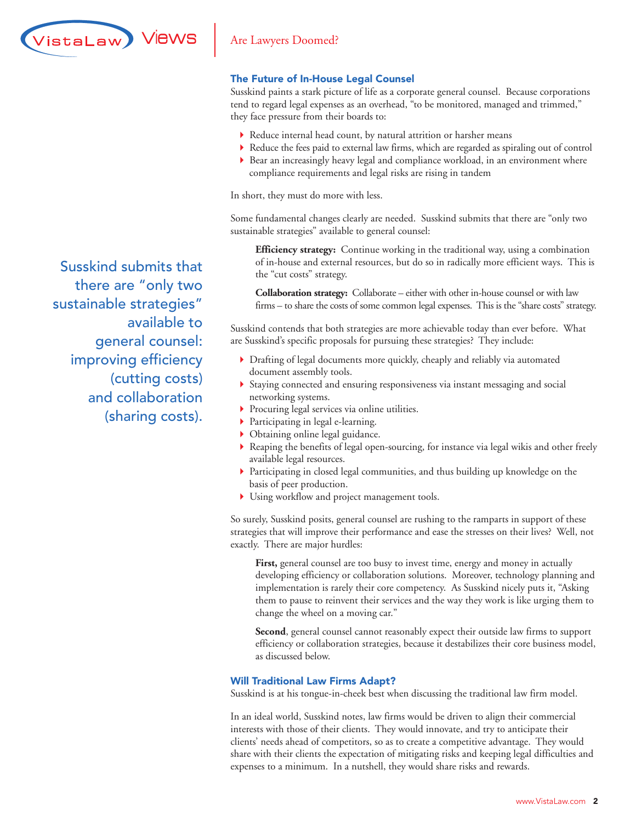

## The Future of In-House Legal Counsel

Susskind paints a stark picture of life as a corporate general counsel. Because corporations tend to regard legal expenses as an overhead, "to be monitored, managed and trimmed," they face pressure from their boards to:

- ! Reduce internal head count, by natural attrition or harsher means
- ! Reduce the fees paid to external law firms, which are regarded as spiraling out of control
- ! Bear an increasingly heavy legal and compliance workload, in an environment where compliance requirements and legal risks are rising in tandem

In short, they must do more with less.

Some fundamental changes clearly are needed. Susskind submits that there are "only two sustainable strategies" available to general counsel:

**Efficiency strategy:** Continue working in the traditional way, using a combination of in-house and external resources, but do so in radically more efficient ways. This is the "cut costs" strategy.

**Collaboration strategy:** Collaborate – either with other in-house counsel or with law firms – to share the costs of some common legal expenses. This is the "share costs" strategy.

Susskind contends that both strategies are more achievable today than ever before. What are Susskind's specific proposals for pursuing these strategies? They include:

- ! Drafting of legal documents more quickly, cheaply and reliably via automated document assembly tools.
- ! Staying connected and ensuring responsiveness via instant messaging and social networking systems.
- ! Procuring legal services via online utilities.
- **Participating in legal e-learning.**
- ! Obtaining online legal guidance.
- ! Reaping the benefits of legal open-sourcing, for instance via legal wikis and other freely available legal resources.
- ! Participating in closed legal communities, and thus building up knowledge on the basis of peer production.
- ! Using workflow and project management tools.

So surely, Susskind posits, general counsel are rushing to the ramparts in support of these strategies that will improve their performance and ease the stresses on their lives? Well, not exactly. There are major hurdles:

First, general counsel are too busy to invest time, energy and money in actually developing efficiency or collaboration solutions. Moreover, technology planning and implementation is rarely their core competency. As Susskind nicely puts it, "Asking them to pause to reinvent their services and the way they work is like urging them to change the wheel on a moving car."

**Second**, general counsel cannot reasonably expect their outside law firms to support efficiency or collaboration strategies, because it destabilizes their core business model, as discussed below.

#### Will Traditional Law Firms Adapt?

Susskind is at his tongue-in-cheek best when discussing the traditional law firm model.

In an ideal world, Susskind notes, law firms would be driven to align their commercial interests with those of their clients. They would innovate, and try to anticipate their clients' needs ahead of competitors, so as to create a competitive advantage. They would share with their clients the expectation of mitigating risks and keeping legal difficulties and expenses to a minimum. In a nutshell, they would share risks and rewards.

Susskind submits that there are "only two sustainable strategies" available to general counsel: improving efficiency (cutting costs) and collaboration (sharing costs).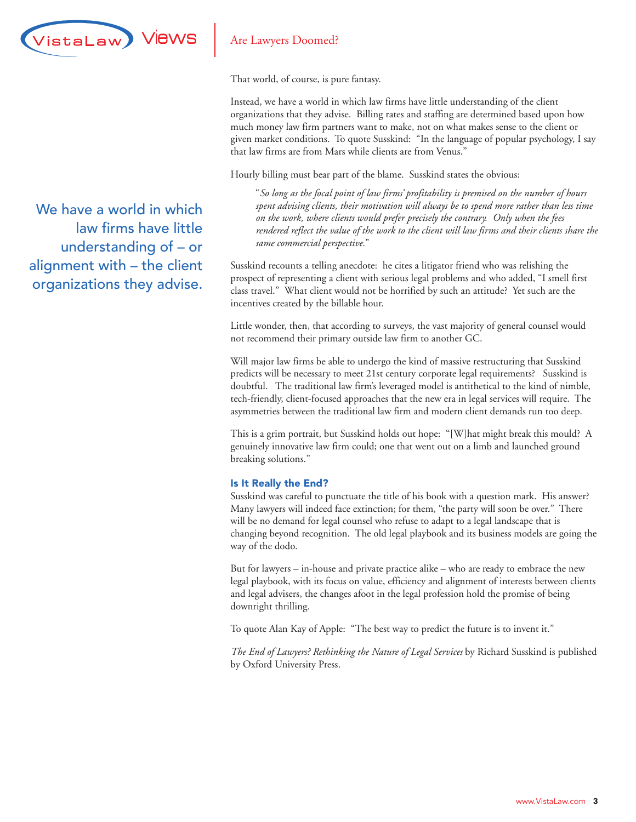

That world, of course, is pure fantasy.

Instead, we have a world in which law firms have little understanding of the client organizations that they advise. Billing rates and staffing are determined based upon how much money law firm partners want to make, not on what makes sense to the client or given market conditions. To quote Susskind: "In the language of popular psychology, I say that law firms are from Mars while clients are from Venus."

Hourly billing must bear part of the blame. Susskind states the obvious:

"*So long as the focal point of law firms' profitability is premised on the number of hours spent advising clients, their motivation will always be to spend more rather than less time on the work, where clients would prefer precisely the contrary. Only when the fees rendered reflect the value of the work to the client will law firms and their clients share the same commercial perspective.*"

Susskind recounts a telling anecdote: he cites a litigator friend who was relishing the prospect of representing a client with serious legal problems and who added, "I smell first class travel." What client would not be horrified by such an attitude? Yet such are the incentives created by the billable hour.

Little wonder, then, that according to surveys, the vast majority of general counsel would not recommend their primary outside law firm to another GC.

Will major law firms be able to undergo the kind of massive restructuring that Susskind predicts will be necessary to meet 21st century corporate legal requirements? Susskind is doubtful. The traditional law firm's leveraged model is antithetical to the kind of nimble, tech-friendly, client-focused approaches that the new era in legal services will require. The asymmetries between the traditional law firm and modern client demands run too deep.

This is a grim portrait, but Susskind holds out hope: "[W]hat might break this mould? A genuinely innovative law firm could; one that went out on a limb and launched ground breaking solutions."

## Is It Really the End?

Susskind was careful to punctuate the title of his book with a question mark. His answer? Many lawyers will indeed face extinction; for them, "the party will soon be over." There will be no demand for legal counsel who refuse to adapt to a legal landscape that is changing beyond recognition. The old legal playbook and its business models are going the way of the dodo.

But for lawyers – in-house and private practice alike – who are ready to embrace the new legal playbook, with its focus on value, efficiency and alignment of interests between clients and legal advisers, the changes afoot in the legal profession hold the promise of being downright thrilling.

To quote Alan Kay of Apple: "The best way to predict the future is to invent it."

*The End of Lawyers? Rethinking the Nature of Legal Services* by Richard Susskind is published by Oxford University Press.

We have a world in which law firms have little understanding of – or alignment with – the client organizations they advise.